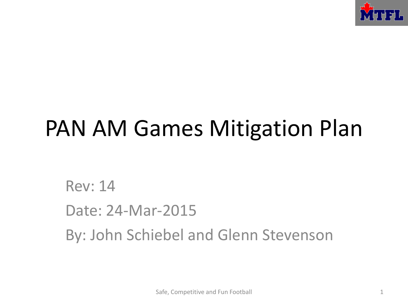

# PAN AM Games Mitigation Plan

Rev: 14 Date: 24-Mar-2015 By: John Schiebel and Glenn Stevenson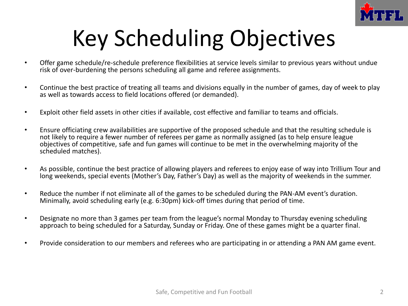

# Key Scheduling Objectives

- Offer game schedule/re-schedule preference flexibilities at service levels similar to previous years without undue risk of over-burdening the persons scheduling all game and referee assignments.
- Continue the best practice of treating all teams and divisions equally in the number of games, day of week to play as well as towards access to field locations offered (or demanded).
- Exploit other field assets in other cities if available, cost effective and familiar to teams and officials.
- Ensure officiating crew availabilities are supportive of the proposed schedule and that the resulting schedule is not likely to require a fewer number of referees per game as normally assigned (as to help ensure league objectives of competitive, safe and fun games will continue to be met in the overwhelming majority of the scheduled matches).
- As possible, continue the best practice of allowing players and referees to enjoy ease of way into Trillium Tour and long weekends, special events (Mother's Day, Father's Day) as well as the majority of weekends in the summer.
- Reduce the number if not eliminate all of the games to be scheduled during the PAN-AM event's duration. Minimally, avoid scheduling early (e.g. 6:30pm) kick-off times during that period of time.
- Designate no more than 3 games per team from the league's normal Monday to Thursday evening scheduling approach to being scheduled for a Saturday, Sunday or Friday. One of these games might be a quarter final.
- Provide consideration to our members and referees who are participating in or attending a PAN AM game event.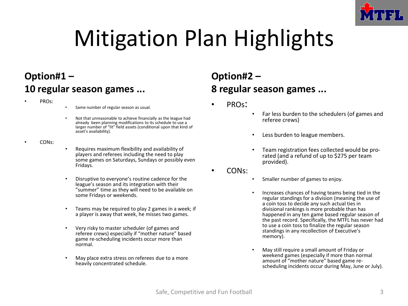

# Mitigation Plan Highlights

### **Option#1 – 10 regular season games ...**

- PROs:
- Same number of regular season as usual.
- Not that unreasonable to achieve financially as the league had already been planning modifications to its schedule to use a larger number of "lit" field assets (conditional upon that kind of asset's availability).
- CONs:
- Requires maximum flexibility and availability of players and referees including the need to play some games on Saturdays, Sundays or possibly even Fridays.
- Disruptive to everyone's routine cadence for the league's season and its integration with their "summer" time as they will need to be available on some Fridays or weekends.
- Teams may be required to play 2 games in a week; if a player is away that week, he misses two games.
- Very risky to master scheduler (of games and referee crews) especially if "mother nature" based game re-scheduling incidents occur more than normal.
- May place extra stress on referees due to a more heavily concentrated schedule.

### **Option#2 – 8 regular season games ...**

- PROs:
- Far less burden to the schedulers (of games and referee crews)
- Less burden to league members.
- Team registration fees collected would be prorated (and a refund of up to \$275 per team provided).
- CONs:
- Smaller number of games to enjoy.
- Increases chances of having teams being tied in the regular standings for a division (meaning the use of a coin toss to decide any such actual ties in divisional rankings is more probable than has happened in any ten game based regular season of the past record. Specifically, the MTFL has never had to use a coin toss to finalize the regular season standings in any recollection of Executive's memory).
- May still require a small amount of Friday or weekend games (especially if more than normal amount of "mother nature" based game rescheduling incidents occur during May, June or July).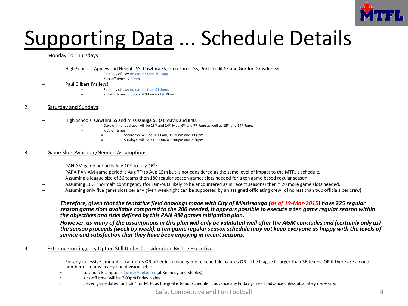

## Supporting Data ... Schedule Details

#### 1. Monday To Thursdays:

- High Schools: Applewood Heights SS, Cawthra SS, Glen Forest SS, Port Credit SS and Gordon Graydon SS
	- First day of use: **no earlier than 19-May**.
	- Kick-off times: 7:00pm .
- Paul Gilbert (Valleys):
	- First day of use: **no earlier than 01-June**.
	- Kick-off times: 6:30pm, 8:00pm and 9:30pm.
- 2. Saturday and Sundays:
	- High Schools: Cawthra SS and Mississauga SS (at Mavis and #401)
		- Days of intended use: will be 23<sup>rd</sup> and 24<sup>th</sup> May, 6<sup>th</sup> and 7<sup>th</sup> June as well as 13<sup>th</sup> and 14<sup>th</sup> June.
		- Kick-off times:
			- » Saturdays: will be 10:00am, 11:30am and 1:00pm.
			- » Sundays: will be as 11:30am, 1:00pm and 2:30pm.

#### 3. Game Slots Available/Needed Assumptions:

- PAN AM game period is July  $10<sup>th</sup>$  to July  $26<sup>th</sup>$ .
- PARA PAN AM game period is Aug 7<sup>th</sup> to Aug 15th but is not considered as the same level of impact to the MTFL's schedule.
- Assuming a league size of 36 teams then 180 regular season games slots needed for a ten game based regular season.
- Assuming 10% "normal" contingency (for rain-outs likely to be encountered as in recent seasons) then ~ 20 more game slots needed.
- Assuming only five game slots per any given weeknight can be supported by an assigned officiating crew (of no less than two officials per crew).

#### *Therefore, given that the tentative field bookings made with City of Mississauga (as of 19-Mar-2015) have 225 regular season game slots available compared to the 200 needed, it appears possible to execute a ten game regular season within the objectives and risks defined by this PAN AM games mitigation plan.*

*However, as many of the assumptions in this plan will only be validated well after the AGM concludes and (certainly only as) the season proceeds (week by week), a ten game regular season schedule may not keep everyone as happy with the levels of service and satisfaction that they have been enjoying in recent seasons.*

#### 4. Extreme Contingency Option Still Under Consideration By The Executive:

- For any excessive amount of rain-outs OR other in-season game re-schedule causes OR if the league is larger than 36 teams, OR if there are an odd number of teams in any one division, etc.:
	- Location: Brampton's **Turner Fenton SS** (at Kennedy and Steeles)
	- Kick-off time: will be 7:00pm Friday nights.
	- Eleven game dates "on hold" for MTFL as the goal is to not schedule in advance any Friday games in advance unless absolutely necessary.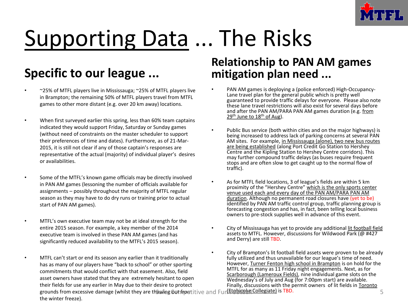

# Supporting Data ... The Risks

### **Specific to our league ...**

- ~25% of MTFL players live in Mississauga; ~25% of MTFL players live in Brampton; the remaining 50% of MTFL players travel from MTFL games to other more distant (e.g. over 20 km away) locations.
- When first surveyed earlier this spring, less than 60% team captains indicated they would support Friday, Saturday or Sunday games (without need of constraints on the master scheduler to support their preferences of time and dates). Furthermore, as of 21-Mar-2015, it is still not clear if any of those captain's responses are representative of the actual (majority) of individual player's desires or availabilities.
- Some of the MTFL's known game officials may be directly involved in PAN AM games (lessoning the number of officials available for assignments – possibly throughout the majority of MTFL regular season as they may have to do dry runs or training prior to actual start of PAN AM games).
- MTFL's own executive team may not be at ideal strength for the entire 2015 season. For example, a key member of the 2014 executive team is involved in these PAN AM games (and has significantly reduced availability to the MTFL's 2015 season).
- MTFL can't start or end its season any earlier than it traditionally has as many of our players have "back to school" or other sporting commitments that would conflict with that easement. Also, field asset owners have stated that they are extremely hesitant to open their fields for use any earlier in May due to their desire to protect grounds from excessive damage (whilst they are thawing Gothiportitive and Fun Foot and Linus Collegiate) is TBD. the winter freeze).

### **Relationship to PAN AM games mitigation plan need ...**

- PAN AM games is deploying a (police enforced) High-Occupancy-Lane travel plan for the general public which is pretty well guaranteed to provide traffic delays for everyone. Please also note these lane travel restrictions will also exist for several days before and after the PAN AM/PARA PAN AM games duration (e.g. from  $29<sup>th</sup>$  June to  $18<sup>th</sup>$  of Aug).
- Public Bus service (both within cities and on the major highways) is being increased to address lack of parking concerns at several PAN AM sites. For example, in Mississauga (alone), two new bus routes are being established (along Port Credit Go Station to Hershey Centre and the Kipling Station to Hershey Centre corridors). This may further compound traffic delays (as buses require frequent stops and are often slow to get caught up to the normal flow of traffic).
- As for MTFL field locations, 3 of league's fields are within 5 km proximity of the "Hershey Centre" which is the only sports center venue used each and every day of the PAN AM/PARA PAN AM duration. Although no permanent road closures have (yet to be) identified by PAN AM traffic control group, traffic planning group is forecasting congestion and has, in fact, been telling local business owners to pre-stock supplies well in advance of this event.
- City of Mississauga has yet to provide any additional lit football field assets to MTFL. However, discussions for Wildwood Park (@ #427 and Derry) are still TBD.
- City of Brampton's lit football field assets were proven to be already fully utilized and thus unavailable for our league's time of need. However, Turner Fenton high school in Brampton is on hold for the MTFL for as many as 11 Friday night engagements. Next, as for Scarborough (Lameroux Fields), nine individual game slots on the Wednesday's of July and Aug (for 7:00pm start) are available. Finally, discussions with the permit owners of lit fields in Toronto<br>(Etebicoke Collegiate) is TBD.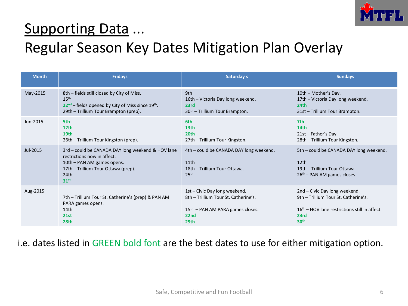

### Supporting Data ...

### Regular Season Key Dates Mitigation Plan Overlay

| <b>Month</b> | <b>Fridays</b>                                                                                                                                                                    | Saturday s                                                                                          | <b>Sundays</b>                                                                                                                         |
|--------------|-----------------------------------------------------------------------------------------------------------------------------------------------------------------------------------|-----------------------------------------------------------------------------------------------------|----------------------------------------------------------------------------------------------------------------------------------------|
| May-2015     | 8th – fields still closed by City of Miss.                                                                                                                                        | 9th                                                                                                 | 10th - Mother's Day.                                                                                                                   |
|              | 15 <sup>th</sup>                                                                                                                                                                  | 16th – Victoria Day long weekend.                                                                   | 17th - Victoria Day long weekend.                                                                                                      |
|              | $22nd$ – fields opened by City of Miss since 19 <sup>th</sup> .                                                                                                                   | 23rd                                                                                                | 24 <sub>th</sub>                                                                                                                       |
|              | 29th – Trillium Tour Brampton (prep).                                                                                                                                             | 30 <sup>th</sup> – Trillium Tour Brampton.                                                          | 31st - Trillium Tour Brampton.                                                                                                         |
| Jun-2015     | 5th                                                                                                                                                                               | 6th                                                                                                 | 7th                                                                                                                                    |
|              | 12 <sub>th</sub>                                                                                                                                                                  | 13 <sub>th</sub>                                                                                    | 14th                                                                                                                                   |
|              | 19th                                                                                                                                                                              | 20 <sub>th</sub>                                                                                    | $21st$ – Father's Day.                                                                                                                 |
|              | 26th – Trillium Tour Kingston (prep).                                                                                                                                             | 27th - Trillium Tour Kingston.                                                                      | 28th - Trillium Tour Kingston.                                                                                                         |
| Jul-2015     | 3rd – could be CANADA DAY long weekend & HOV lane<br>restrictions now in affect.<br>10th – PAN AM games opens.<br>17th - Trillium Tour Ottawa (prep).<br>24th<br>31 <sup>st</sup> | 4th – could be CANADA DAY long weekend.<br>11th<br>18th - Trillium Tour Ottawa.<br>25 <sup>th</sup> | 5th – could be CANADA DAY long weekend.<br>12 <sub>th</sub><br>19th - Trillium Tour Ottawa.<br>26 <sup>th</sup> - PAN AM games closes. |
| Aug-2015     | 7th – Trillium Tour St. Catherine's (prep) & PAN AM                                                                                                                               | 1st - Civic Day long weekend.                                                                       | 2nd – Civic Day long weekend.                                                                                                          |
|              | PARA games opens.                                                                                                                                                                 | 8th - Trillium Tour St. Catherine's.                                                                | 9th - Trillium Tour St. Catherine's.                                                                                                   |
|              | 14th                                                                                                                                                                              | $15th$ – PAN AM PARA games closes.                                                                  | $16th$ – HOV lane restrictions still in affect.                                                                                        |
|              | 21st                                                                                                                                                                              | 22nd                                                                                                | 23rd                                                                                                                                   |
|              | 28th                                                                                                                                                                              | 29th                                                                                                | 30 <sup>th</sup>                                                                                                                       |

#### i.e. dates listed in GREEN bold font are the best dates to use for either mitigation option.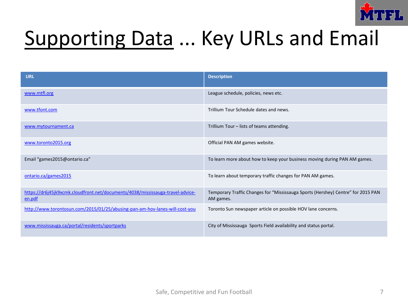

## Supporting Data ... Key URLs and Email

| <b>URL</b>                                                                               | <b>Description</b>                                                                            |
|------------------------------------------------------------------------------------------|-----------------------------------------------------------------------------------------------|
| www.mtfl.org                                                                             | League schedule, policies, news etc.                                                          |
| www.tfont.com                                                                            | Trillium Tour Schedule dates and news.                                                        |
| www.mytournament.ca                                                                      | Trillium Tour - lists of teams attending.                                                     |
| www.toronto2015.org                                                                      | Official PAN AM games website.                                                                |
| Email "games2015@ontario.ca"                                                             | To learn more about how to keep your business moving during PAN AM games.                     |
| ontario.ca/games2015                                                                     | To learn about temporary traffic changes for PAN AM games.                                    |
| https://dr6j45jk9xcmk.cloudfront.net/documents/4038/mississauga-travel-advice-<br>en.pdf | Temporary Traffic Changes for "Mississauga Sports (Hershey) Centre" for 2015 PAN<br>AM games. |
| http://www.torontosun.com/2015/01/25/abusing-pan-am-hov-lanes-will-cost-you              | Toronto Sun newspaper article on possible HOV lane concerns.                                  |
| www.mississauga.ca/portal/residents/sportparks                                           | City of Mississauga Sports Field availability and status portal.                              |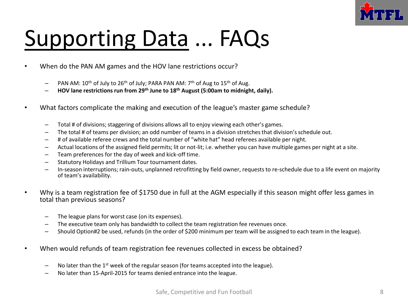

# Supporting Data ... FAQs

- When do the PAN AM games and the HOV lane restrictions occur?
	- $-$  PAN AM: 10<sup>th</sup> of July to 26<sup>th</sup> of July; PARA PAN AM: 7<sup>th</sup> of Aug to 15<sup>th</sup> of Aug.
	- **HOV lane restrictions run from 29th June to 18th August (5:00am to midnight, daily).**
- What factors complicate the making and execution of the league's master game schedule?
	- Total # of divisions; staggering of divisions allows all to enjoy viewing each other's games.
	- The total # of teams per division; an odd number of teams in a division stretches that division's schedule out.
	- # of available referee crews and the total number of "white hat" head referees available per night.
	- Actual locations of the assigned field permits; lit or not-lit; i.e. whether you can have multiple games per night at a site.
	- Team preferences for the day of week and kick-off time.
	- Statutory Holidays and Trillium Tour tournament dates.
	- In-season interruptions; rain-outs, unplanned retrofitting by field owner, requests to re-schedule due to a life event on majority of team's availability.
- Why is a team registration fee of \$1750 due in full at the AGM especially if this season might offer less games in total than previous seasons?
	- The league plans for worst case (on its expenses).
	- The executive team only has bandwidth to collect the team registration fee revenues once.
	- Should Option#2 be used, refunds (in the order of \$200 minimum per team will be assigned to each team in the league).
- When would refunds of team registration fee revenues collected in excess be obtained?
	- $-$  No later than the 1<sup>st</sup> week of the regular season (for teams accepted into the league).
	- No later than 15-April-2015 for teams denied entrance into the league.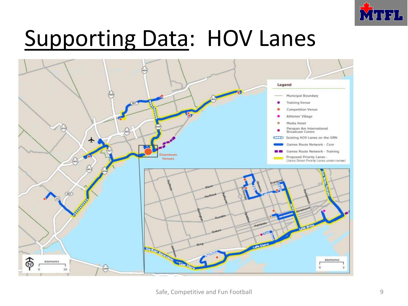

## Supporting Data: HOV Lanes

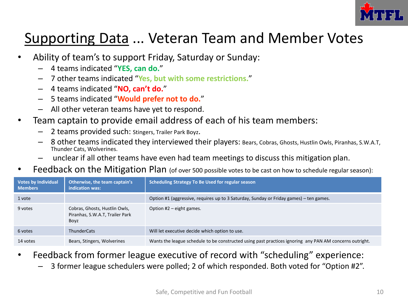

### Supporting Data ... Veteran Team and Member Votes

- Ability of team's to support Friday, Saturday or Sunday:
	- 4 teams indicated "**YES, can do.**"
	- 7 other teams indicated "**Yes, but with some restrictions.**"
	- 4 teams indicated "**NO, can't do.**"
	- 5 teams indicated "**Would prefer not to do.**"
	- All other veteran teams have yet to respond.
- Team captain to provide email address of each of his team members:
	- 2 teams provided such: Stingers, Trailer Park Boyz.
	- 8 other teams indicated they interviewed their players: Bears, Cobras, Ghosts, Hustlin Owls, Piranhas, S.W.A.T, Thunder Cats, Wolverines.
	- unclear if all other teams have even had team meetings to discuss this mitigation plan.
- Feedback on the Mitigation Plan (of over 500 possible votes to be cast on how to schedule regular season):

| <b>Votes by Individual</b><br><b>Members</b> | Otherwise, the team captain's<br>indication was:                         | Scheduling Strategy To Be Used for regular season                                                       |
|----------------------------------------------|--------------------------------------------------------------------------|---------------------------------------------------------------------------------------------------------|
| 1 vote                                       |                                                                          | Option #1 (aggressive, requires up to 3 Saturday, Sunday or Friday games) – ten games.                  |
| 9 votes                                      | Cobras, Ghosts, Hustlin Owls,<br>Piranhas, S.W.A.T, Trailer Park<br>Boyz | Option $#2$ – eight games.                                                                              |
| 6 votes                                      | <b>ThunderCats</b>                                                       | Will let executive decide which option to use.                                                          |
| 14 votes                                     | Bears, Stingers, Wolverines                                              | Wants the league schedule to be constructed using past practices ignoring any PAN AM concerns outright. |

- Feedback from former league executive of record with "scheduling" experience:
	- 3 former league schedulers were polled; 2 of which responded. Both voted for "Option #2".